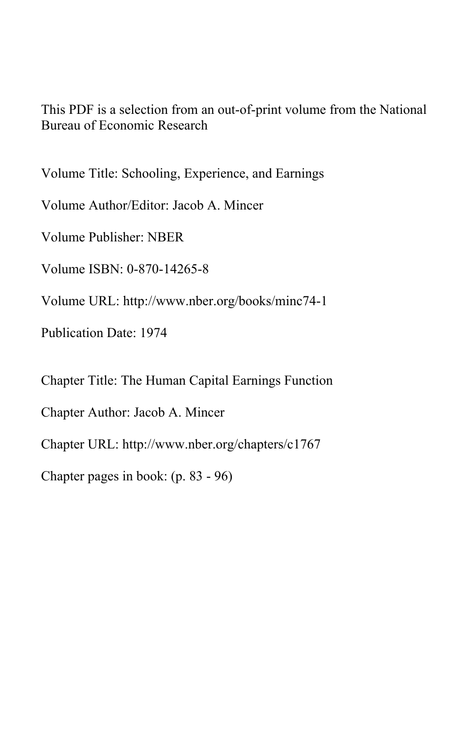This PDF is a selection from an out-of-print volume from the National Bureau of Economic Research

Volume Title: Schooling, Experience, and Earnings

Volume Author/Editor: Jacob A. Mincer

Volume Publisher: NBER

Volume ISBN: 0-870-14265-8

Volume URL: http://www.nber.org/books/minc74-1

Publication Date: 1974

Chapter Title: The Human Capital Earnings Function

Chapter Author: Jacob A. Mincer

Chapter URL: http://www.nber.org/chapters/c1767

Chapter pages in book: (p. 83 - 96)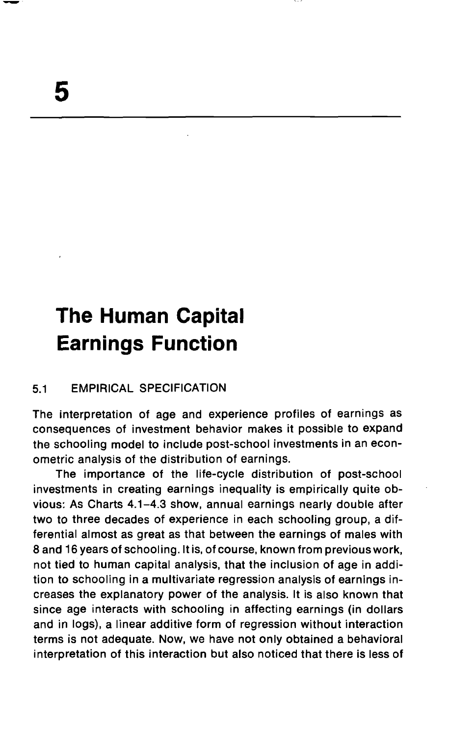# The Human Capital Earnings Function

# 5.1 EMPIRICAL SPECIFICATION

The interpretation of age and experience profiles of earnings as consequences of investment behavior makes it possible to expand the schooling model to include post-school investments in an econometric analysis of the distribution of earnings.

The importance of the life-cycle distribution of post-school investments in creating earnings inequality is empirically quite obvious: As Charts 4.1—4.3 show, annual earnings nearly double after two to three decades of experience in each schooling group, a differential almost as great as that between the earnings of males with 8 and 16 years of schooling. It is, of course, known from previous work, not tied to human capital analysis, that the inclusion of age in addition to schooling in a multivariate regression analysis of earnings increases the explanatory power of the analysis. It is also known that since age interacts with schooling in affecting earnings (in dollars and in logs), a linear additive form of regression without interaction terms is not adequate. Now, we have not only obtained a behavioral interpretation of this interaction but also noticed that there is less of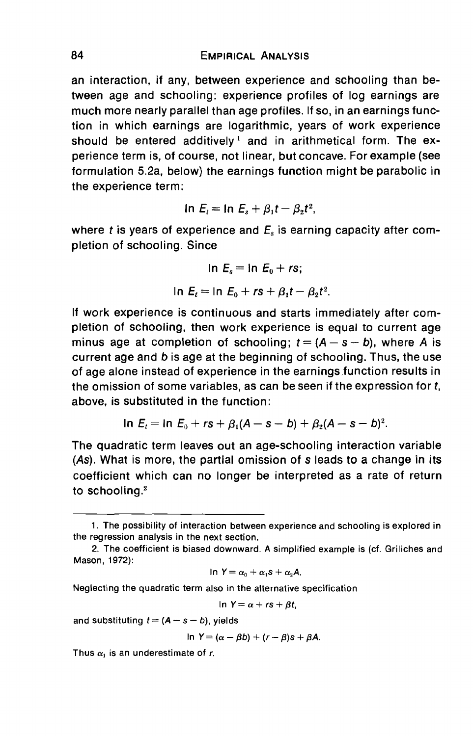an interaction, if any, between experience and schooling than between age and schooling: experience profiles of log earnings are much more nearly parallel than age profiles. If so, in an earnings function in which earnings are logarithmic, years of work experience should be entered additively<sup>1</sup> and in arithmetical form. The experience term is, of course, not linear, but concave. For example (see formulation 5.2a, below) the earnings function might be parabolic in the experience term:

$$
\ln E_t = \ln E_s + \beta_1 t - \beta_2 t^2,
$$

where t is years of experience and  $E<sub>s</sub>$  is earning capacity after completion of schooling. Since

$$
\ln E_s = \ln E_0 + rs;
$$

$$
\ln E_t = \ln E_0 + rs + \beta_1 t - \beta_2 t^2.
$$

If work experience is continuous and starts immediately after completion of schooling, then work experience is equal to current age minus age at completion of schooling;  $t = (A - s - b)$ , where A is current age and b is age at the beginning of schooling. Thus, the use of age alone instead of experience in the earnings function results in the omission of some variables, as can be seen if the expression for t, above, is substituted in the function:

$$
\ln E_t = \ln E_0 + rs + \beta_1(A - s - b) + \beta_2(A - s - b)^2.
$$

The quadratic term leaves out an age-schooling interaction variable (As). What is more, the partial omission of s leads to a change in its coefficient which can no longer be interpreted as a rate of return to schooling.2

In 
$$
Y = \alpha_0 + \alpha_1 s + \alpha_2 A
$$
.

Neglecting the quadratic term also in the alternative specification

$$
\ln Y = \alpha + rs + \beta t,
$$

and substituting  $t = (A - s - b)$ , yields

$$
\ln Y = (\alpha - \beta b) + (r - \beta)s + \beta A.
$$

Thus  $\alpha_1$  is an underestimate of r.

<sup>1.</sup> The possibility of interaction between experience and schooling is explored in the regression analysis in the next section.

<sup>2.</sup> The coefficient is biased downward. A simplified example is (cf. Griliches and Mason, 1972):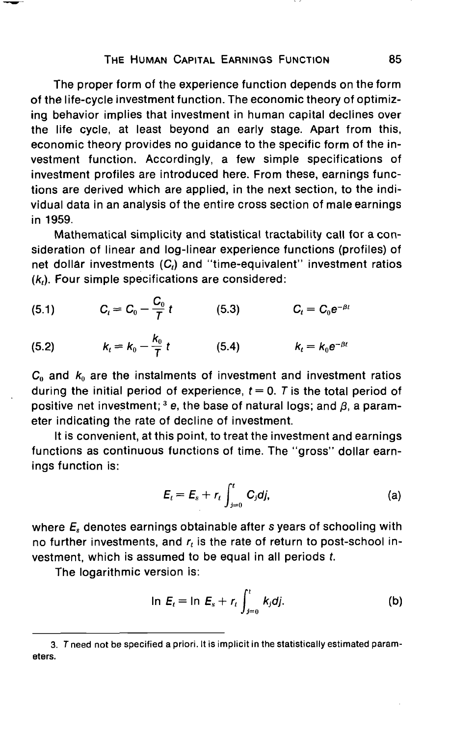#### THE HUMAN CAPITAL EARNINGS FUNCTION 85

The proper form of the experience function depends on the form of the life-cycle investment function. The economic theory of optimizing behavior implies that investment in human capital declines over the life cycle, at least beyond an early stage. Apart from this, economic theory provides no guidance to the specific form of the investment function. Accordingly, a few simple specifications of investment profiles are introduced here. From these, earnings functions are derived which are applied, in the next section, to the individual data in an analysis of the entire cross section of male earnings in 1959.

Mathematical simplicity and statistical tractability call for a consideration of linear and log-linear experience functions (profiles) of net dollar investments  $(C_i)$  and "time-equivalent" investment ratios  $(k<sub>i</sub>)$ . Four simple specifications are considered:

(5.1) 
$$
C_t = C_0 - \frac{C_0}{T} t
$$
 (5.3)  $C_t = C_0 e^{-\beta t}$ 

(5.2) 
$$
k_t = k_0 - \frac{k_0}{7} t
$$
 (5.4)  $k_t = k_0 e^{-\beta t}$ 

 $C_0$  and  $k_0$  are the instalments of investment and investment ratios during the initial period of experience,  $t = 0$ . T is the total period of positive net investment; <sup>3</sup> e, the base of natural logs; and  $\beta$ , a parameter indicating the rate of decline of investment.

It is convenient, at this point, to treat the investment and earnings functions as continuous functions of time. The "gross" dollar earnings function is:

$$
E_t = E_s + r_t \int_{j=0}^t C_j dj,
$$
 (a)

where  $E<sub>s</sub>$  denotes earnings obtainable after s years of schooling with no further investments, and  $r<sub>t</sub>$  is the rate of return to post-school investment, which is assumed to be equal in all periods t.

The logarithmic version is:

$$
\ln E_t = \ln E_s + r_t \int_{j=0}^t k_j dj. \tag{b}
$$

<sup>3.</sup> T need not be specified a priori. It is implicit in the statistically estimated parameters.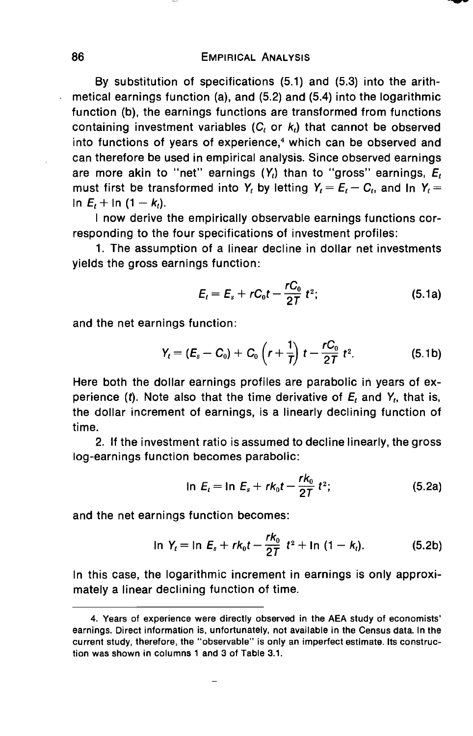By substitution of specifications (5.1) and (5.3) into the arithmetical earnings function (a), and (5.2) and (5.4) into the logarithmic function (b), the earnings functions are transformed from functions containing investment variables  $(C_t$  or  $k_t$ ) that cannot be observed into functions of years of experience,<sup>4</sup> which can be observed and can therefore be used in empirical analysis. Since observed earnings are more akin to "net" earnings  $(Y_t)$  than to "gross" earnings,  $E_t$ must first be transformed into  $Y_t$  by letting  $Y_t = E_t - C_t$ , and In  $Y_t =$ In  $E_1 + \ln{(1 - k_1)}$ .

I now derive the empirically observable earnings functions corresponding to the four specifications of investment profiles:

1. The assumption of a linear decline in dollar net investments yields the gross earnings function:

$$
E_t = E_s + rC_0t - \frac{rC_0}{2T}t^2;
$$
 (5.1a)

and the net earnings function:

$$
Y_t = (E_s - C_0) + C_0 \left( r + \frac{1}{T} \right) t - \frac{rC_0}{2T} t^2.
$$
 (5.1b)

Here both the dollar earnings profiles are parabolic in years of experience (t). Note also that the time derivative of  $E_t$  and  $Y_t$ , that is, the dollar increment of earnings, is a linearly declining function of time.

2. If the investment ratio is assumed to decline linearly, the gross log-earnings function becomes parabolic:

$$
\ln E_t = \ln E_s + rk_0t - \frac{rk_0}{2T}t^2; \tag{5.2a}
$$

and the net earnings function becomes:

$$
\ln Y_t = \ln E_s + rk_0t - \frac{rk_0}{27}t^2 + \ln (1 - k_t). \tag{5.2b}
$$

In this case, the logarithmic increment in earnings is only approximately a linear declining function of time.

<sup>4.</sup> Years of experience were directly observed in the AEA study of economists' earnings. Direct information is, unfortunately, not available in the Census data. In the current study, therefore, the "observable" is only an imperfect estimate. Its construction was shown in columns 1 and 3 of Table 3.1.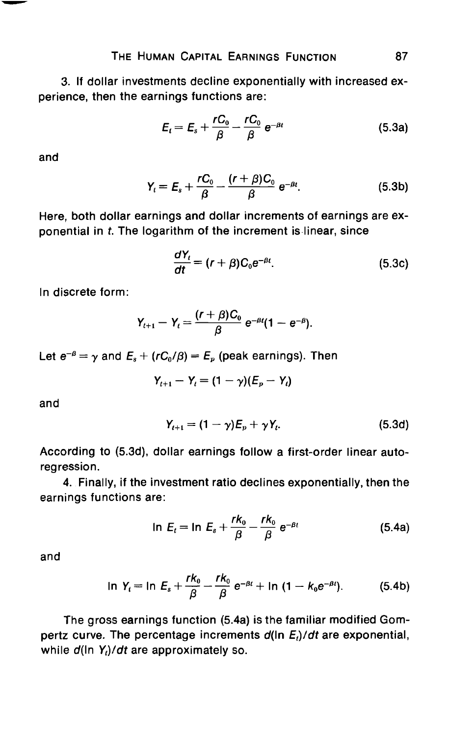3. If dollar investments decline exponentially with increased experience, then the earnings functions are:

$$
E_t = E_s + \frac{rC_0}{\beta} - \frac{rC_0}{\beta} e^{-\beta t}
$$
 (5.3a)

and

$$
Y_t = E_s + \frac{rC_0}{\beta} - \frac{(r+\beta)C_0}{\beta} e^{-\beta t}.
$$
 (5.3b)

Here, both dollar earnings and dollar increments of earnings are exponential in t. The logarithm of the increment is linear, since

$$
\frac{dY_t}{dt} = (r + \beta)C_0 e^{-\beta t}.\tag{5.3c}
$$

In discrete form:

$$
Y_{t+1}-Y_t=\frac{(r+\beta)C_0}{\beta}e^{-\beta t}(1-e^{-\beta}).
$$

Let  $e^{-\beta} = \gamma$  and  $E_s + (rC_0/\beta) = E_p$  (peak earnings). Then

$$
Y_{t+1}-Y_t=(1-\gamma)(E_p-Y_t)
$$

and

$$
Y_{t+1} = (1 - \gamma)E_p + \gamma Y_t. \tag{5.3d}
$$

According to (5.3d), dollar earnings follow a first-order linear autoregression.

4. Finally, if the investment ratio declines exponentially, then the earnings functions are:

$$
\ln E_t = \ln E_s + \frac{rk_0}{\beta} - \frac{rk_0}{\beta} e^{-\beta t}
$$
 (5.4a)

and

$$
\ln Y_t = \ln E_s + \frac{rk_0}{\beta} - \frac{rk_0}{\beta} e^{-\beta t} + \ln (1 - k_0 e^{-\beta t}). \tag{5.4b}
$$

The gross earnings function (5.4a) is the familiar modified Gompertz curve. The percentage increments  $d(\ln E_i)/dt$  are exponential, while  $d(\ln Y_i)/dt$  are approximately so.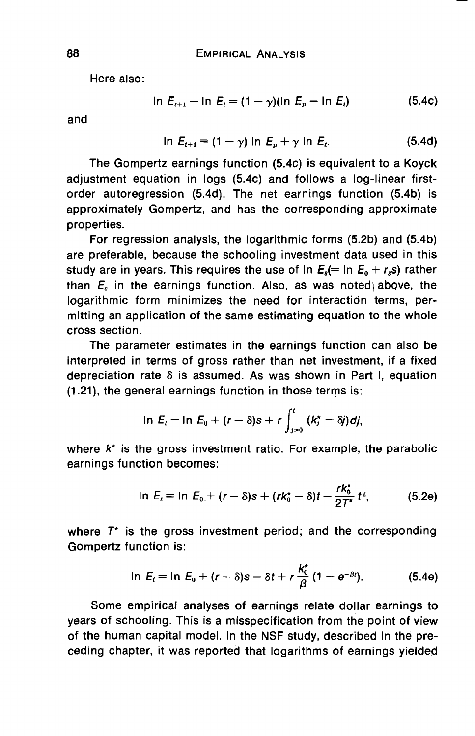Here also:

$$
\ln E_{t+1} - \ln E_t = (1 - \gamma)(\ln E_p - \ln E_t) \tag{5.4c}
$$

and

$$
\ln E_{t+1} = (1 - \gamma) \ln E_p + \gamma \ln E_t. \tag{5.4d}
$$

The Gompertz earnings function (5.4c) is equivalent to a Koyck adjustment equation in logs (5.4c) and follows a log-linear firstorder autoregression (5.4d).. The net earnings function (5.4b) is approximately Gompertz, and has the corresponding approximate properties.

For regression analysis, the logarithmic forms (5.2b) and (5.4b) are preferable, because the schooling investment data used in this study are in years. This requires the use of In  $E_8$ (= In  $E_0 + r_s s$ ) rather than  $E<sub>s</sub>$  in the earnings function. Also, as was noted above, the logarithmic form minimizes the need for interaction terms, permitting an application of the same estimating equation to the whole cross section.

The parameter estimates in the earnings function can also be interpreted in terms of gross rather than net investment, if a fixed depreciation rate  $\delta$  is assumed. As was shown in Part I, equation (1.21), the general earnings function in those terms is:

$$
\ln E_t = \ln E_0 + (r - \delta)s + r \int_{j=0}^t (k_j^* - \delta j) dj,
$$

where  $k^*$  is the gross investment ratio. For example, the parabolic earnings function becomes:

$$
\ln E_t = \ln E_0 + (r - \delta)s + (rk_0^* - \delta)t - \frac{rk_0^*}{2T^*}t^2, \qquad (5.2e)
$$

where  $T^*$  is the gross investment period; and the corresponding Gompertz function is:

$$
\ln E_t = \ln E_0 + (r - \delta)s - \delta t + r \frac{k_0^*}{\beta} (1 - e^{-\beta t}).
$$
 (5.4e)

Some empiricaj analyses of earnings relate dollar earnings to years of schooling. This is a misspecification from the point of view of the human capital model. In the NSF study, described in the preceding chapter, it was reported that logarithms of earnings yielded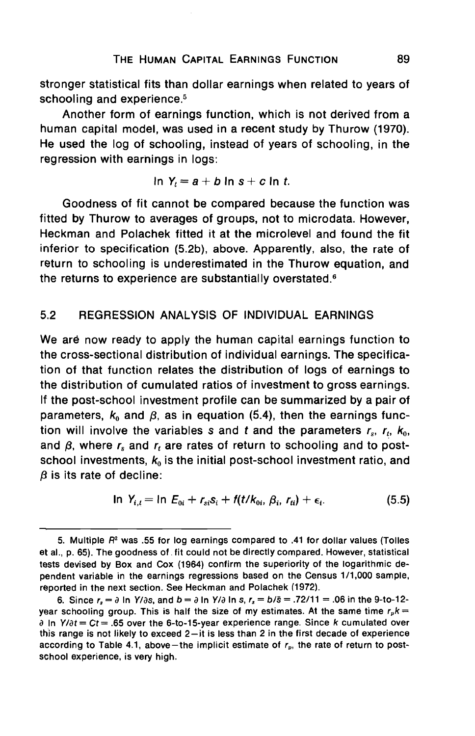stronger statistical fits than dollar earnings when related to years of schooling and experience.<sup>5</sup>

Another form of earnings function, which is not derived from a human capital model, was used in a recent study by Thurow (1970). He used the log of schooling, instead of years of schooling, in the regression with earnings in logs:

In 
$$
Y_t = a + b \ln s + c \ln t
$$
.

Goodness of fit cannot be compared because the function was fitted by Thurow to averages of groups, not to microdata. However, Heckman and Polachek fitted it at the microlevel and found the fit inferior to specification (5.2b), above. Apparently, also, the rate of return to schooling is underestimated in the Thurow equation, and the returns to experience are substantially overstated.<sup>6</sup>

# 5.2 REGRESSION ANALYSIS OF INDIVIDUAL EARNINGS

We are now ready to apply the human capital earnings function to the cross-sectional distribution of individual earnings. The specification of that function relates the distribution of logs of earnings to the distribution of cumulated ratios of investment to gross earnings. If the post-school investment profile can be summarized by a pair of parameters,  $k_0$  and  $\beta$ , as in equation (5.4), then the earnings function will involve the variables s and t and the parameters  $r_s$ ,  $r_t$ ,  $k_0$ , and  $\beta$ , where  $r_s$  and  $r_t$  are rates of return to schooling and to postschool investments,  $k_0$  is the initial post-school investment ratio, and  $\beta$  is its rate of decline:

$$
\ln Y_{i,t} = \ln E_{0i} + r_{si} s_i + f(t/k_{0i}, \beta_i, r_{ti}) + \epsilon_i. \tag{5.5}
$$

<sup>5.</sup> Multiple  $R<sup>2</sup>$  was .55 for log earnings compared to .41 for dollar values (Tolles et al., p. 65). The goodness of, fit could not be directly compared. However, statistical tests devised by Box and Cox (1964) confirm the superiority of the logarithmic dependent variable in the earnings regressions based on the Census 1/1,000 sample, reported in the next section. See Heckman and Polachek (1972).

<sup>6.</sup> Since  $r_s = \partial \ln Y/\partial s$ , and  $b = \partial \ln Y/\partial \ln s$ ,  $r_s = b/\overline{s} = .72/11 = .06$  in the 9-to-12year schooling group. This is half the size of my estimates. At the same time  $r_p k =$  $\partial$  In Y/ $\partial t = Ct = .65$  over the 6-to-15-year experience range. Since k cumulated over this range is not likely to exceed 2—it is less than 2 in the first decade of experience according to Table 4.1, above—the implicit estimate of  $r_p$ , the rate of return to postschool experience, is very high.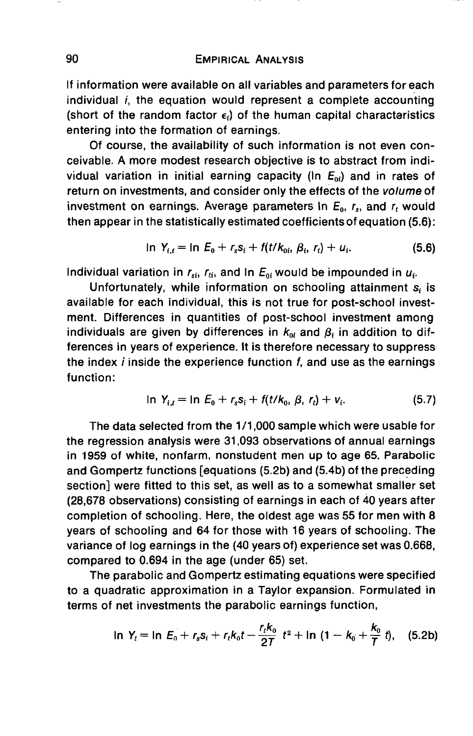## 90 EMPIRICAL ANALYSIS

If information were available on all variables and parameters for each individual *i*, the equation would represent a complete accounting (short of the random factor  $\epsilon_i$ ) of the human capital characteristics entering into the formation of earnings.

Of course, the availability of such information is not even conceivable. A more modest research objective is to abstract from individual variation in initial earning capacity (In  $E_{0i}$ ) and in rates of return on investments, and consider only the effects of the volume of investment on earnings. Average parameters in  $E_0$ ,  $r_s$ , and  $r_t$  would then appear in the statistically estimated coefficients of equation (5.6):

$$
\ln Y_{i,t} = \ln E_0 + r_s s_i + f(t/k_{0i}, \beta_i, r_t) + u_i. \tag{5.6}
$$

Individual variation in  $r_{\rm si}$ ,  $r_{\rm di}$ , and In  $E_{0i}$  would be impounded in  $u_i$ .

Unfortunately, while information on schooling attainment  $s_i$  is available for each individual, this is not true for post-school investment. Differences in quantities of post-school investment among individuals are given by differences in  $k_{0i}$  and  $\beta_i$  in addition to differences in years of experience. It is therefore necessary to suppress the index  $i$  inside the experience function  $f$ , and use as the earnings function:

$$
\ln Y_{i,t} = \ln E_0 + r_s s_i + f(t/k_0, \beta, r_t) + v_i. \tag{5.7}
$$

The data selected from the 1/1,000 sample which were usable for the regression analysis were 31,093 observations of annual earnings in 1959 of white, nonfarm, nonstudent men up to age 65. Parabolic and Gompertz functions [equations (5.2b) and (5.4b) of the preceding section] were fitted to this set, as well as to a somewhat smaller set (28,678 observations) consisting of earnings in each of 4o years after completion of schooling. Here, the oldest age was 55 for men with 8 years of schooling and 64 for those with 16 years of schooling. The variance of log earnings in the (40 years of) experience set was 0.668, compared to 0.694 in the age (under 65) set.

The parabolic and Gompertz estimating equations were specified to a quadratic approximation in a Taylor expansion. Formulated in terms of net investments the parabolic earnings function,

$$
\ln Y_t = \ln E_0 + r_s s_i + r_t k_0 t - \frac{r_t k_0}{2T} t^2 + \ln (1 - k_0 + \frac{k_0}{T} t), \quad (5.2b)
$$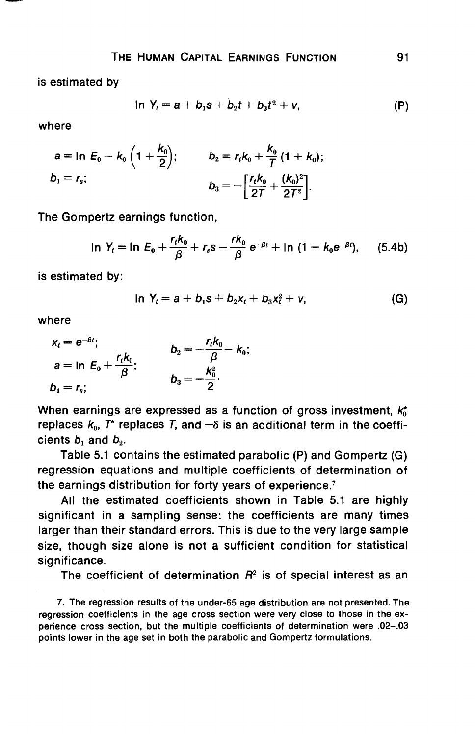is estimated by

$$
\ln Y_t = a + b_1 s + b_2 t + b_3 t^2 + v, \tag{P}
$$

where

$$
a = \ln E_0 - k_0 \left( 1 + \frac{k_0}{2} \right); \qquad b_2 = r_t k_0 + \frac{k_0}{7} \left( 1 + k_0 \right);
$$
  

$$
b_1 = r_s; \qquad b_3 = -\left[ \frac{r_t k_0}{27} + \frac{(k_0)^2}{27^2} \right].
$$

The Gompertz earnings function,

$$
\ln Y_t = \ln E_0 + \frac{r_t k_0}{\beta} + r_s s - \frac{r k_0}{\beta} e^{-\beta t} + \ln (1 - k_0 e^{-\beta t}), \quad (5.4b)
$$

is estimated by:

$$
\ln Y_t = a + b_1 s + b_2 x_t + b_3 x_t^2 + v, \tag{G}
$$

where

$$
x_t = e^{-\beta t};
$$
  
\n
$$
a = \ln E_0 + \frac{r_t k_0}{\beta};
$$
  
\n
$$
b_1 = r_s;
$$
  
\n
$$
b_3 = -\frac{k_0^2}{2}.
$$

When earnings are expressed as a function of gross investment,  $k_0^*$ replaces  $k_0$ ,  $T^*$  replaces T, and  $-\delta$  is an additional term in the coefficients  $b_1$  and  $b_2$ .

Table 5.1 contains the estimated parabolic (P) and Gompertz (G) regression equations and multiple coefficients of determination of the earnings distribution for forty years of experience.7

All the estimated coefficients shown in Table 5.1 are highly significant in a sampling sense: the coefficients are many times larger than their standard errors. This is due to the very large sample size, though size alone is not a sufficient condition for statistical significance.

The coefficient of determination  $R<sup>2</sup>$  is of special interest as an

<sup>7.</sup> The regression results of the under-65 age distribution are not presented. The regression coefficients in the age cross section were very close to those in the experience cross section, but the multiple coefficients of determination were .02—.03 points lower in the age set in both the parabolic and Gompertz formulations.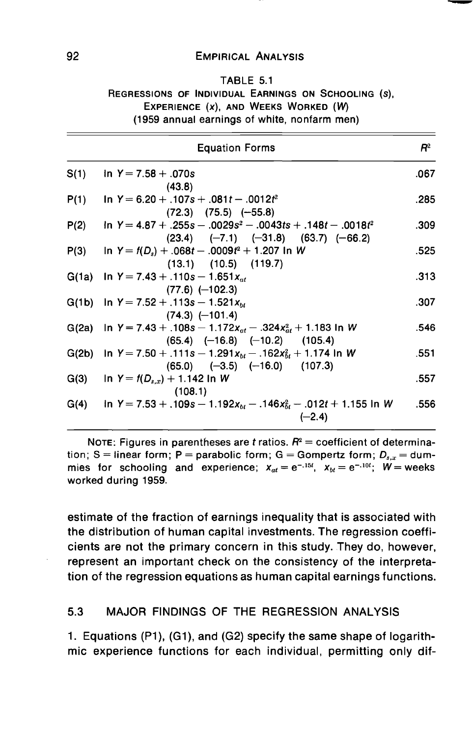#### 92 EMPIRICAL ANALYSIS

#### TABLE 5.1

## REGRESSIONS OF INDIVIDUAL EARNINGS ON SCHOOLING (s), EXPERIENCE (x), AND WEEKS WORKED (W) (1959 annual earnings of white, nonfarm men)

|      | <b>Equation Forms</b>                                                                                                         | $\mathsf{P}^2$ |
|------|-------------------------------------------------------------------------------------------------------------------------------|----------------|
| S(1) | in $Y = 7.58 + 0.070s$<br>(43.8)                                                                                              | .067           |
| P(1) | In Y = $6.20 + 0.107s + 0.081t - 0.0012t^2$<br>$(72.3)$ $(75.5)$ $(-55.8)$                                                    | .285           |
| P(2) | $\ln Y = 4.87 + 0.255s - 0.0029s^2 - 0.0043ts + 0.148t - 0.0018t^2$<br>$(23.4)$ $(-7.1)$ $(-31.8)$ $(63.7)$ $(-66.2)$         | .309           |
| P(3) | $In Y = f(D_s) + .068t - .0009t^2 + 1.207 In W$<br>$(13.1)$ $(10.5)$ $(119.7)$                                                | .525           |
|      | G(1a) In Y = 7.43 + .110s - 1.651 $x_{at}$<br>$(77.6)$ $(-102.3)$                                                             | .313           |
|      | G(1b) In Y = 7.52 + .113s - 1.521 $x_{bt}$<br>$(74.3)$ $(-101.4)$                                                             | .307           |
|      | G(2a) In Y = 7.43 + .108s - 1.172x <sub>at</sub> - .324x <sub>at</sub> + 1.183 In W<br>$(65.4)$ $(-16.8)$ $(-10.2)$ $(105.4)$ | .546           |
|      | G(2b) In Y = 7.50 + .111s - 1.291 $x_{bt}$ - .162 $x_{bt}^2$ + 1.174 In W<br>$(65.0)$ $(-3.5)$ $(-16.0)$ $(107.3)$            | .551           |
|      | G(3) In $Y = f(D_{s,x}) + 1.142$ In W<br>(108.1)                                                                              | .557           |
|      | G(4) in Y = 7.53 + .109s - 1.192x <sub>bt</sub> - .146x <sub>bt</sub> - .012t + 1.155 in W<br>$(-2.4)$                        | .556           |

NOTE: Figures in parentheses are t ratios.  $R^2$  = coefficient of determination; S = linear form; P = parabolic form; G = Gompertz form;  $D_{s,x}$  = dummies for schooling and experience;  $x_{at} = e^{-0.15t}$ ,  $x_{bt} = e^{-0.10t}$ ;  $W =$  weeks worked during 1959.

estimate of the fraction of earnings inequality that is associated with the distribution of human capital investments. The regression coefficients are not the primary concern in this study. They do, however, represent an important check on the consistency of the interpretation of the regression equations as human capital earnings functions.

#### 5.3 MAJOR FINDINGS OF THE REGRESSION ANALYSIS

1. Equations (P1), (Gi), and (G2) specify the same shape of logarithmic experience functions for each individual, permitting only dif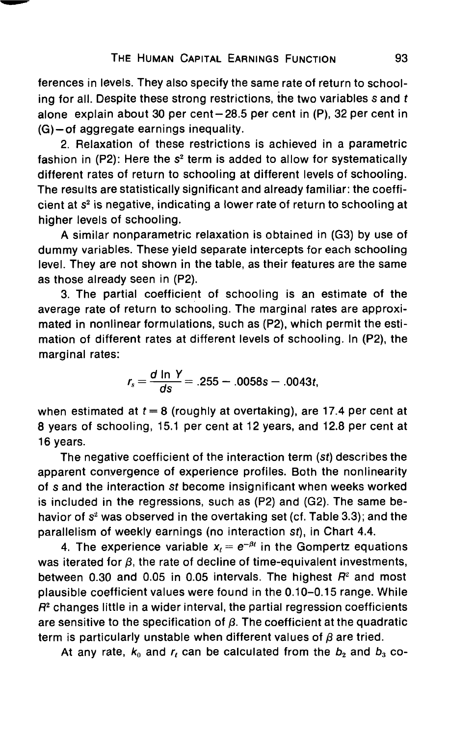ferences in levels. They also specify the same rate of return to schooling for all. Despite these strong restrictions, the two variables  $s$  and  $t$ alone explain about 30 per cent—28.5 per cent in (P), 32 per cent in (G)—of aggregate earnings inequality.

2. Relaxation of these restrictions is achieved in a parametric fashion in  $(P2)$ : Here the  $s<sup>2</sup>$  term is added to allow for systematically different rates of return to schooling at different levels of schooling. The results are statistically significant and already familiar: the coefficient at  $s<sup>2</sup>$  is negative, indicating a lower rate of return to schooling at higher levels of schooling.

A similar nonparametric relaxation is obtained in (G3) by use of dummy variables. These yield separate intercepts for each schooling level. They are not shown in the table, as their features are the same as those already seen in (P2).

3. The partial coefficient of schooling is an estimate of the average rate of return to schooling. The marginal rates are approximated in nonlinear formulations, such as (P2), which permit the estimation of different rates at different levels of schooling. In (P2), the marginal rates:

$$
r_s = \frac{d \ln Y}{ds} = .255 - .0058s - .0043t,
$$

when estimated at  $t = 8$  (roughly at overtaking), are 17.4 per cent at 8 years of schooling, 15.1 per cent at 12 years, and 12.8 per cent at 16 years.

The negative coefficient of the interaction term (st) describes the apparent convergence of experience profiles. Both the nonlinearity of s and the interaction St become insignificant when weeks worked is included in the regressions, such as (P2) and (G2). The same behavior of  $s<sup>2</sup>$  was observed in the overtaking set (cf. Table 3.3); and the parallelism of weekly earnings (no interaction st), in Chart 4.4.

4. The experience variable  $x_t = e^{-\beta t}$  in the Gompertz equations was iterated for  $\beta$ , the rate of decline of time-equivalent investments, between 0.30 and 0.05 in 0.05 intervals. The highest  $R<sup>2</sup>$  and most plausible coefficient values were found in the 0.10—0.15 range. While  $R<sup>2</sup>$  changes little in a wider interval, the partial regression coefficients are sensitive to the specification of  $\beta$ . The coefficient at the quadratic term is particularly unstable when different values of  $\beta$  are tried.

At any rate,  $k_0$  and  $r_t$  can be calculated from the  $b_2$  and  $b_3$  co-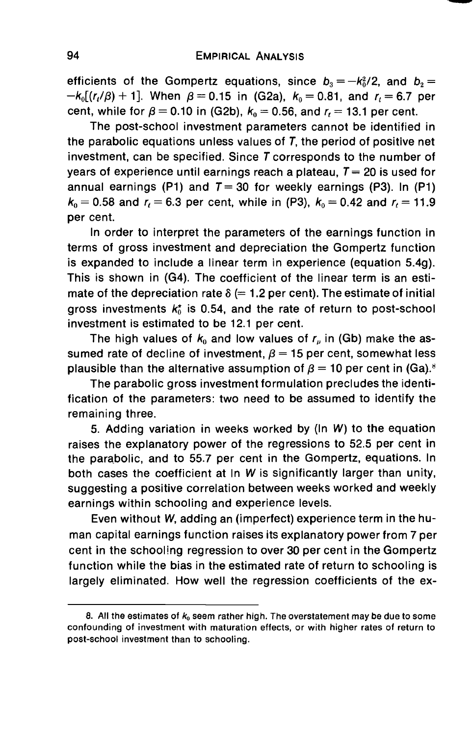efficients of the Gompertz equations, since  $b_3 = -k_0^2/2$ , and  $b_2 =$  $-k_0[(r_1/\beta) + 1]$ . When  $\beta = 0.15$  in (G2a),  $k_0 = 0.81$ , and  $r_1 = 6.7$  per cent, while for  $\beta = 0.10$  in (G2b),  $k_0 = 0.56$ , and  $r_1 = 13.1$  per cent.

The post-school investment parameters cannot be identified in the parabolic equations unless values of T, the period of positive net investment, can be specified. Since  $T$  corresponds to the number of years of experience until earnings reach a plateau,  $T= 20$  is used for annual earnings (P1) and  $T=30$  for weekly earnings (P3). In (P1)  $k_0 = 0.58$  and  $r_1 = 6.3$  per cent, while in (P3),  $k_0 = 0.42$  and  $r_1 = 11.9$ per cent.

In order to interpret the parameters of the earnings function in terms of gross investment and depreciation the Gompertz function is expanded to include a linear term in experience (equation 5.4g). This is shown in (G4). The coefficient of the linear term is an estimate of the depreciation rate  $\delta$  (= 1.2 per cent). The estimate of initial gross investments  $k_0^*$  is 0.54, and the rate of return to post-school investment is estimated to be 12.1 per cent.

The high values of  $k_0$  and low values of  $r_n$  in (Gb) make the assumed rate of decline of investment,  $\beta = 15$  per cent, somewhat less plausible than the alternative assumption of  $\beta = 10$  per cent in (Ga).<sup>8</sup>

The parabolic gross investment formulation precludes the identification of the parameters: two need to be assumed to identify the remaining three.

5. Adding variation in weeks worked by (In W) to the equation raises the explanatory power of the regressions to 52.5 per cent in the parabolic, and to 55.7 per cent in the Gompertz, equations. In both cases the coefficient at In W is significantly larger than unity, suggesting a positive correlation between weeks worked and weekly earnings within schooling and experience levels.

Even without W, adding an (imperfect) experience term in the human capital earnings function raises its explanatory power from 7 per cent in the schooling regression to over 30 per cent in the Gompertz function while the bias in the estimated rate of return to schooling is largely eliminated. How well the regression coefficients of the ex-

<sup>8.</sup> All the estimates of  $k_0$  seem rather high. The overstatement may be due to some confounding of investment with maturation effects, or with higher rates of return to post-school investment than to schooling.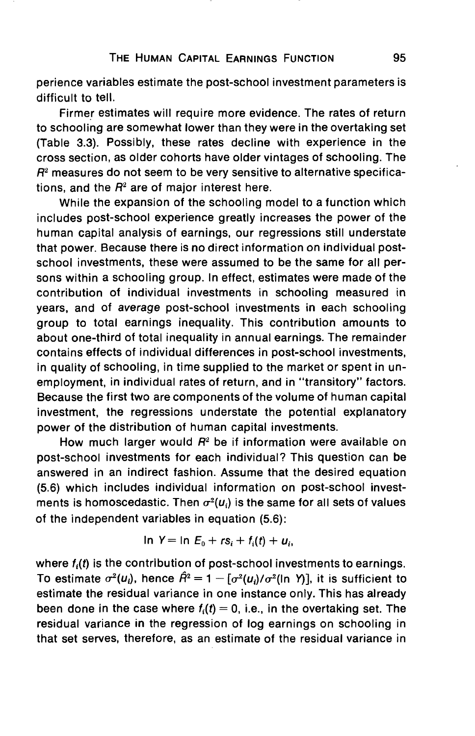perience variables estimate the post-school investment parameters is difficult to tell.

Firmer estimates will require more evidence. The rates of return to schooling are somewhat lower than they were in the overtaking set (Table 3.3). Possibly, these rates decline with experience in the cross section, as older cohorts have older vintages of schooling. The  $R<sup>2</sup>$  measures do not seem to be very sensitive to alternative specifications, and the  $R^2$  are of major interest here.

While the expansion of the schooling model to a function which includes post-school experience greatly increases the power of the human capital analysis of earnings, our regressions still understate that power. Because there is no direct information on individual postschool investments, these were assumed to be the same for all persons within a schooling group. In effect, estimates were made of the contribution of individual investments in schooling measured in years, and of average post-school investments in each schooling group to total earnings inequality. This contribution amounts to about one-third of total inequality in annual earnings. The remainder contains effects of individual differences in post-school investments, in quality of schooling, in time supplied to the market or spent in unemployment, in individual rates of return, and in "transitory" factors. Because the first two are components of the volume of human capital investment, the regressions understate the potential explanatory power of the distribution of human capital investments.

How much larger would  $R^2$  be if information were available on post-school investments for each individual? This question can be answered in an indirect fashion. Assume that the desired equation (5.6) which includes individual information on post-school investments is homoscedastic. Then  $\sigma^2(u_i)$  is the same for all sets of values of the independent variables in equation (5.6):

$$
\ln Y = \ln E_0 + rs_i + f_i(t) + u_i,
$$

where  $f_i(t)$  is the contribution of post-school investments to earnings. To estimate  $\sigma^2(u_i)$ , hence  $\hat{H}^2 = 1 - [\sigma^2(u_i)/\sigma^2$ (ln Y)], it is sufficient to estimate the residual variance in one instance only. This has already been done in the case where  $f_i(t) = 0$ , i.e., in the overtaking set. The residual variance in the regression of log earnings on schooling in that set serves, therefore, as an estimate of the residual variance in